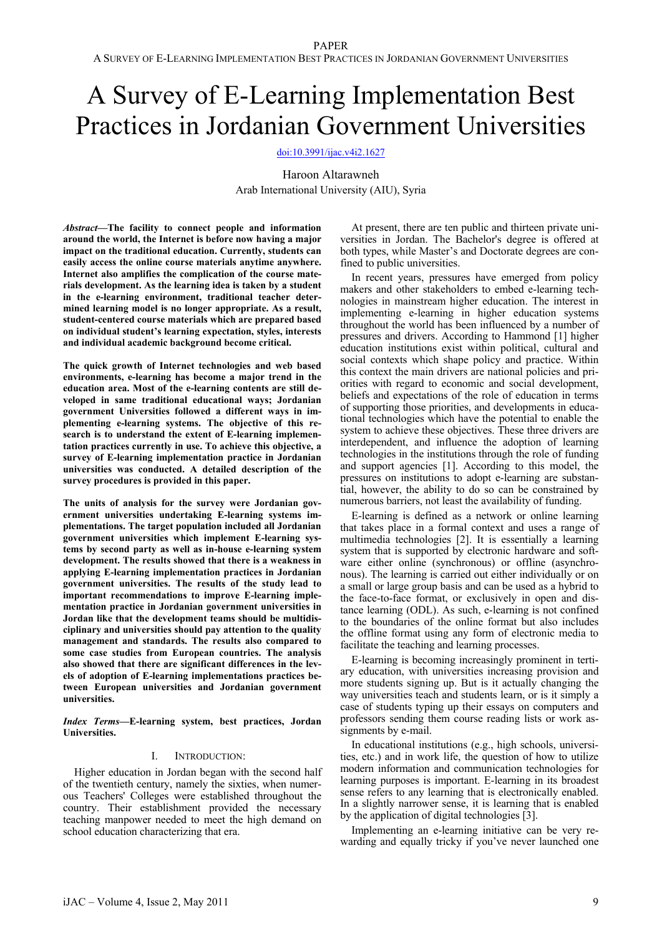# A Survey of E-Learning Implementation Best Practices in Jordanian Government Universities

[doi:10.3991/ijac.v4i2.1627](http://dx.doi.org/ijac.v4i2.1627)

Haroon Altarawneh Arab International University (AIU), Syria

*Abstract***—The facility to connect people and information around the world, the Internet is before now having a major impact on the traditional education. Currently, students can easily access the online course materials anytime anywhere. Internet also amplifies the complication of the course materials development. As the learning idea is taken by a student in the e-learning environment, traditional teacher determined learning model is no longer appropriate. As a result, student-centered course materials which are prepared based on individual student's learning expectation, styles, interests and individual academic background become critical.** 

**The quick growth of Internet technologies and web based environments, e-learning has become a major trend in the education area. Most of the e-learning contents are still developed in same traditional educational ways; Jordanian government Universities followed a different ways in implementing e-learning systems. The objective of this research is to understand the extent of E-learning implementation practices currently in use. To achieve this objective, a survey of E-learning implementation practice in Jordanian universities was conducted. A detailed description of the survey procedures is provided in this paper.** 

**The units of analysis for the survey were Jordanian government universities undertaking E-learning systems implementations. The target population included all Jordanian government universities which implement E-learning systems by second party as well as in-house e-learning system development. The results showed that there is a weakness in applying E-learning implementation practices in Jordanian government universities. The results of the study lead to important recommendations to improve E-learning implementation practice in Jordanian government universities in Jordan like that the development teams should be multidisciplinary and universities should pay attention to the quality management and standards. The results also compared to some case studies from European countries. The analysis also showed that there are significant differences in the levels of adoption of E-learning implementations practices between European universities and Jordanian government universities.** 

*Index Terms***—E-learning system, best practices, Jordan Universities.** 

# I. INTRODUCTION:

Higher education in Jordan began with the second half of the twentieth century, namely the sixties, when numerous Teachers' Colleges were established throughout the country. Their establishment provided the necessary teaching manpower needed to meet the high demand on school education characterizing that era.

At present, there are ten public and thirteen private universities in Jordan. The Bachelor's degree is offered at both types, while Master's and Doctorate degrees are confined to public universities.

In recent years, pressures have emerged from policy makers and other stakeholders to embed e-learning technologies in mainstream higher education. The interest in implementing e-learning in higher education systems throughout the world has been influenced by a number of pressures and drivers. According to Hammond [1] higher education institutions exist within political, cultural and social contexts which shape policy and practice. Within this context the main drivers are national policies and priorities with regard to economic and social development, beliefs and expectations of the role of education in terms of supporting those priorities, and developments in educational technologies which have the potential to enable the system to achieve these objectives. These three drivers are interdependent, and influence the adoption of learning technologies in the institutions through the role of funding and support agencies [1]. According to this model, the pressures on institutions to adopt e-learning are substantial, however, the ability to do so can be constrained by numerous barriers, not least the availability of funding.

E-learning is defined as a network or online learning that takes place in a formal context and uses a range of multimedia technologies [2]. It is essentially a learning system that is supported by electronic hardware and software either online (synchronous) or offline (asynchronous). The learning is carried out either individually or on a small or large group basis and can be used as a hybrid to the face-to-face format, or exclusively in open and distance learning (ODL). As such, e-learning is not confined to the boundaries of the online format but also includes the offline format using any form of electronic media to facilitate the teaching and learning processes.

E-learning is becoming increasingly prominent in tertiary education, with universities increasing provision and more students signing up. But is it actually changing the way universities teach and students learn, or is it simply a case of students typing up their essays on computers and professors sending them course reading lists or work assignments by e-mail.

In educational institutions (e.g., high schools, universities, etc.) and in work life, the question of how to utilize modern information and communication technologies for learning purposes is important. E-learning in its broadest sense refers to any learning that is electronically enabled. In a slightly narrower sense, it is learning that is enabled by the application of digital technologies [3].

Implementing an e-learning initiative can be very rewarding and equally tricky if you've never launched one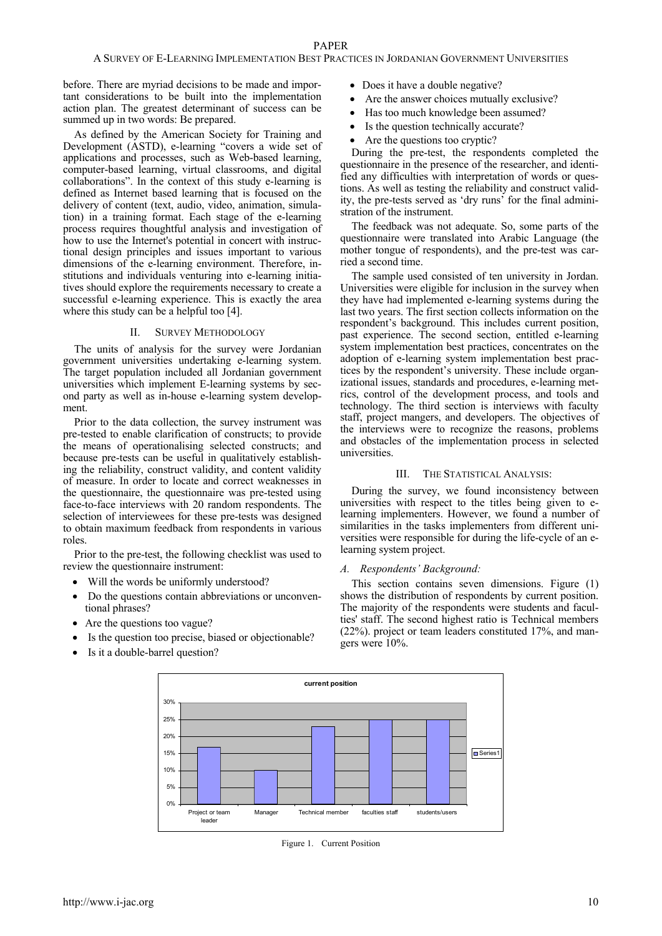before. There are myriad decisions to be made and important considerations to be built into the implementation action plan. The greatest determinant of success can be summed up in two words: Be prepared.

As defined by the American Society for Training and Development (ASTD), e-learning "covers a wide set of applications and processes, such as Web-based learning, computer-based learning, virtual classrooms, and digital collaborations". In the context of this study e-learning is defined as Internet based learning that is focused on the delivery of content (text, audio, video, animation, simulation) in a training format. Each stage of the e-learning process requires thoughtful analysis and investigation of how to use the Internet's potential in concert with instructional design principles and issues important to various dimensions of the e-learning environment. Therefore, institutions and individuals venturing into e-learning initiatives should explore the requirements necessary to create a successful e-learning experience. This is exactly the area where this study can be a helpful too [4].

# II. SURVEY METHODOLOGY

The units of analysis for the survey were Jordanian government universities undertaking e-learning system. The target population included all Jordanian government universities which implement E-learning systems by second party as well as in-house e-learning system development.

Prior to the data collection, the survey instrument was pre-tested to enable clarification of constructs; to provide the means of operationalising selected constructs; and because pre-tests can be useful in qualitatively establishing the reliability, construct validity, and content validity of measure. In order to locate and correct weaknesses in the questionnaire, the questionnaire was pre-tested using face-to-face interviews with 20 random respondents. The selection of interviewees for these pre-tests was designed to obtain maximum feedback from respondents in various roles.

Prior to the pre-test, the following checklist was used to review the questionnaire instrument:

- Will the words be uniformly understood?
- Do the questions contain abbreviations or unconventional phrases?
- Are the questions too vague?
- Is the question too precise, biased or objectionable?
- Is it a double-barrel question?
- Does it have a double negative?
- Are the answer choices mutually exclusive?
- Has too much knowledge been assumed?
- Is the question technically accurate?
- Are the questions too cryptic?

During the pre-test, the respondents completed the questionnaire in the presence of the researcher, and identified any difficulties with interpretation of words or questions. As well as testing the reliability and construct validity, the pre-tests served as 'dry runs' for the final administration of the instrument.

The feedback was not adequate. So, some parts of the questionnaire were translated into Arabic Language (the mother tongue of respondents), and the pre-test was carried a second time.

The sample used consisted of ten university in Jordan. Universities were eligible for inclusion in the survey when they have had implemented e-learning systems during the last two years. The first section collects information on the respondent's background. This includes current position, past experience. The second section, entitled e-learning system implementation best practices, concentrates on the adoption of e-learning system implementation best practices by the respondent's university. These include organizational issues, standards and procedures, e-learning metrics, control of the development process, and tools and technology. The third section is interviews with faculty staff, project mangers, and developers. The objectives of the interviews were to recognize the reasons, problems and obstacles of the implementation process in selected universities.

# III. THE STATISTICAL ANALYSIS:

During the survey, we found inconsistency between universities with respect to the titles being given to elearning implementers. However, we found a number of similarities in the tasks implementers from different universities were responsible for during the life-cycle of an elearning system project.

#### *A. Respondents' Background:*

This section contains seven dimensions. Figure (1) shows the distribution of respondents by current position. The majority of the respondents were students and faculties' staff. The second highest ratio is Technical members (22%). project or team leaders constituted 17%, and mangers were 10%.



Figure 1. Current Position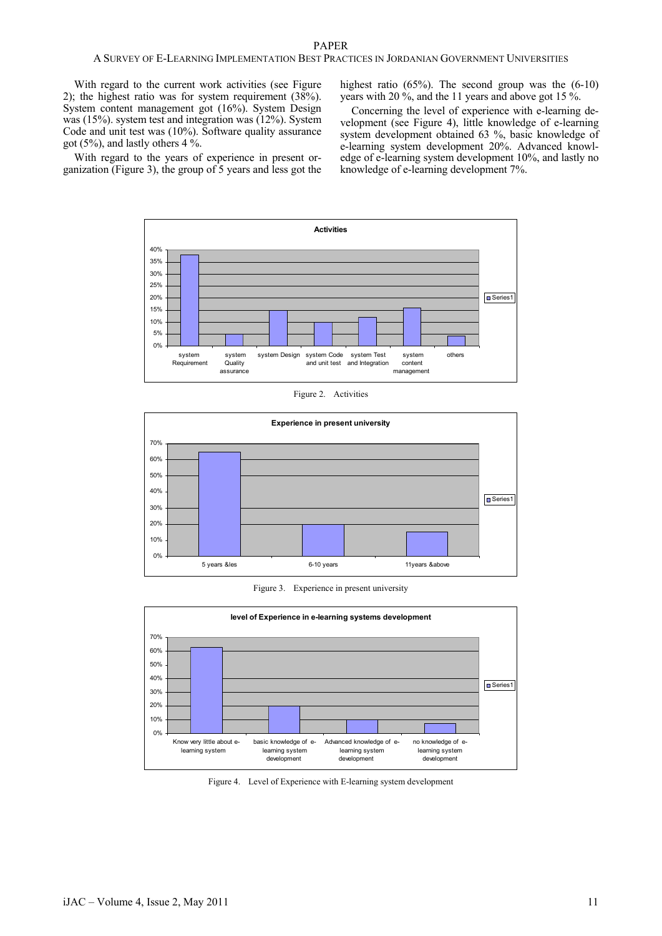With regard to the current work activities (see Figure 2); the highest ratio was for system requirement (38%). System content management got (16%). System Design was (15%). system test and integration was (12%). System Code and unit test was (10%). Software quality assurance got (5%), and lastly others  $4\%$ .

highest ratio (65%). The second group was the (6-10) years with 20 %, and the 11 years and above got 15 %.

Concerning the level of experience with e-learning development (see Figure 4), little knowledge of e-learning system development obtained 63 %, basic knowledge of e-learning system development 20%. Advanced knowledge of e-learning system development 10%, and lastly no knowledge of e-learning development 7%.

With regard to the years of experience in present organization (Figure 3), the group of 5 years and less got the



Figure 2. Activities



Figure 3. Experience in present university



Figure 4. Level of Experience with E-learning system development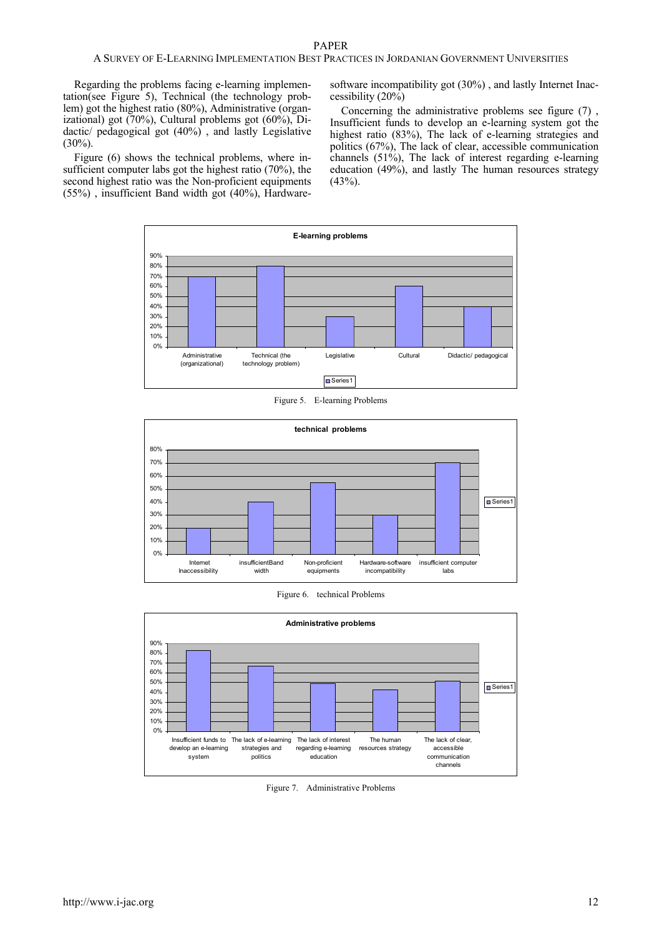# PAPER

# A SURVEY OF E-LEARNING IMPLEMENTATION BEST PRACTICES IN JORDANIAN GOVERNMENT UNIVERSITIES

Regarding the problems facing e-learning implementation(see Figure 5), Technical (the technology problem) got the highest ratio (80%), Administrative (organizational) got (70%), Cultural problems got (60%), Didactic/ pedagogical got (40%) , and lastly Legislative  $(30\%)$ .

Figure (6) shows the technical problems, where insufficient computer labs got the highest ratio (70%), the second highest ratio was the Non-proficient equipments (55%) , insufficient Band width got (40%), Hardwaresoftware incompatibility got (30%) , and lastly Internet Inaccessibility (20%)

Concerning the administrative problems see figure (7) , Insufficient funds to develop an e-learning system got the highest ratio (83%), The lack of e-learning strategies and politics (67%), The lack of clear, accessible communication channels (51%), The lack of interest regarding e-learning education (49%), and lastly The human resources strategy  $(43%).$ 



Figure 5. E-learning Problems



Figure 6. technical Problems



Figure 7. Administrative Problems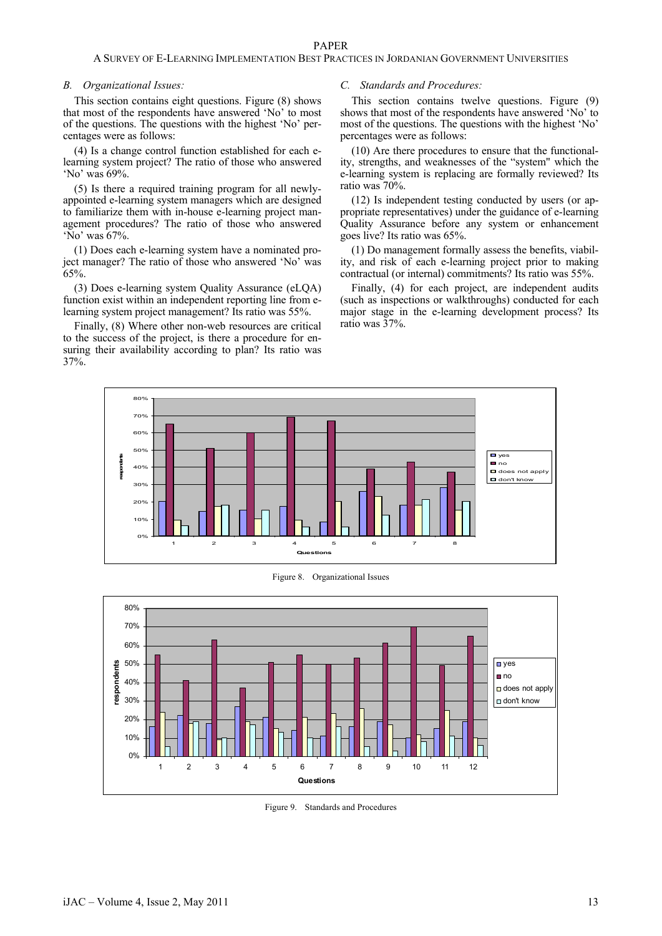### *B. Organizational Issues:*

This section contains eight questions. Figure (8) shows that most of the respondents have answered 'No' to most of the questions. The questions with the highest 'No' percentages were as follows:

(4) Is a change control function established for each elearning system project? The ratio of those who answered 'No' was 69%.

(5) Is there a required training program for all newlyappointed e-learning system managers which are designed to familiarize them with in-house e-learning project management procedures? The ratio of those who answered 'No' was 67%.

(1) Does each e-learning system have a nominated project manager? The ratio of those who answered 'No' was 65%.

(3) Does e-learning system Quality Assurance (eLQA) function exist within an independent reporting line from elearning system project management? Its ratio was 55%.

Finally, (8) Where other non-web resources are critical to the success of the project, is there a procedure for ensuring their availability according to plan? Its ratio was 37%.

# *C. Standards and Procedures:*

This section contains twelve questions. Figure (9) shows that most of the respondents have answered 'No' to most of the questions. The questions with the highest 'No' percentages were as follows:

(10) Are there procedures to ensure that the functionality, strengths, and weaknesses of the "system" which the e-learning system is replacing are formally reviewed? Its ratio was 70%.

(12) Is independent testing conducted by users (or appropriate representatives) under the guidance of e-learning Quality Assurance before any system or enhancement goes live? Its ratio was 65%.

(1) Do management formally assess the benefits, viability, and risk of each e-learning project prior to making contractual (or internal) commitments? Its ratio was 55%.

Finally, (4) for each project, are independent audits (such as inspections or walkthroughs) conducted for each major stage in the e-learning development process? Its ratio was 37%.



Figure 8. Organizational Issues



Figure 9. Standards and Procedures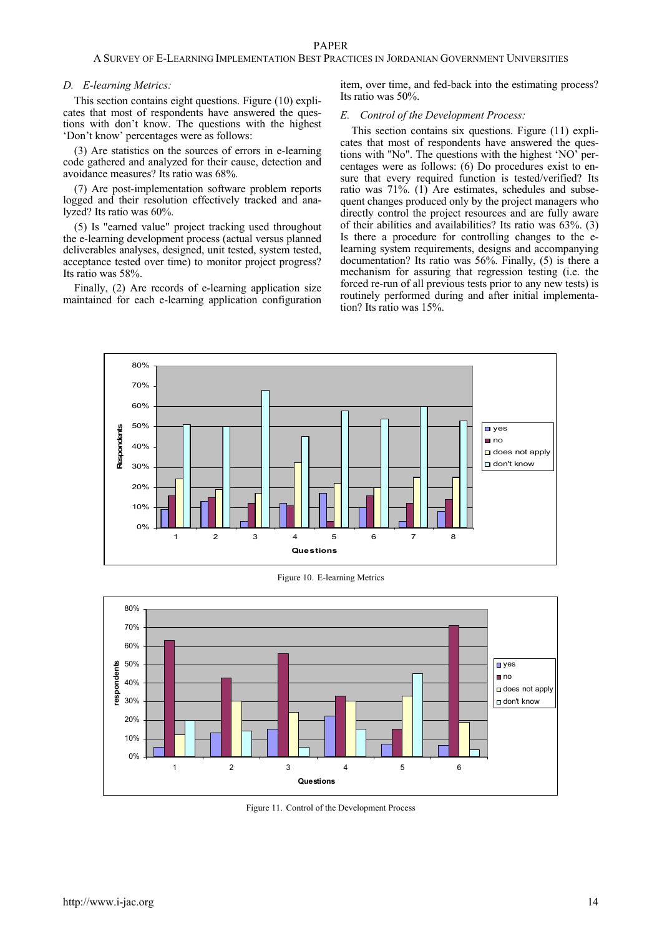# PAPER

# A SURVEY OF E-LEARNING IMPLEMENTATION BEST PRACTICES IN JORDANIAN GOVERNMENT UNIVERSITIES

#### *D. E-learning Metrics:*

This section contains eight questions. Figure (10) explicates that most of respondents have answered the questions with don't know. The questions with the highest 'Don't know' percentages were as follows:

(3) Are statistics on the sources of errors in e-learning code gathered and analyzed for their cause, detection and avoidance measures? Its ratio was 68%.

(7) Are post-implementation software problem reports logged and their resolution effectively tracked and analyzed? Its ratio was 60%.

(5) Is "earned value" project tracking used throughout the e-learning development process (actual versus planned deliverables analyses, designed, unit tested, system tested, acceptance tested over time) to monitor project progress? Its ratio was 58%.

Finally, (2) Are records of e-learning application size maintained for each e-learning application configuration item, over time, and fed-back into the estimating process? Its ratio was 50%.

# *E. Control of the Development Process:*

This section contains six questions. Figure (11) explicates that most of respondents have answered the questions with "No". The questions with the highest 'NO' percentages were as follows: (6) Do procedures exist to ensure that every required function is tested/verified? Its ratio was 71%. (1) Are estimates, schedules and subsequent changes produced only by the project managers who directly control the project resources and are fully aware of their abilities and availabilities? Its ratio was  $63\%$ . (3) Is there a procedure for controlling changes to the elearning system requirements, designs and accompanying documentation? Its ratio was 56%. Finally, (5) is there a mechanism for assuring that regression testing (i.e. the forced re-run of all previous tests prior to any new tests) is routinely performed during and after initial implementation? Its ratio was 15%.



Figure 10. E-learning Metrics



Figure 11. Control of the Development Process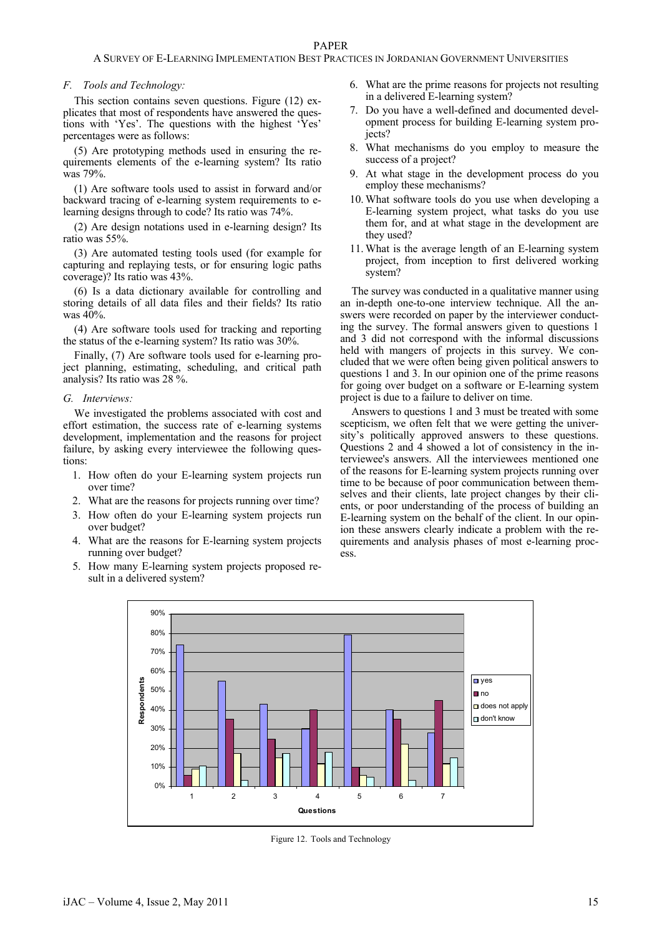# *F. Tools and Technology:*

This section contains seven questions. Figure (12) explicates that most of respondents have answered the questions with 'Yes'. The questions with the highest 'Yes' percentages were as follows:

(5) Are prototyping methods used in ensuring the requirements elements of the e-learning system? Its ratio was 79%.

(1) Are software tools used to assist in forward and/or backward tracing of e-learning system requirements to elearning designs through to code? Its ratio was 74%.

(2) Are design notations used in e-learning design? Its ratio was 55%.

(3) Are automated testing tools used (for example for capturing and replaying tests, or for ensuring logic paths coverage)? Its ratio was 43%.

(6) Is a data dictionary available for controlling and storing details of all data files and their fields? Its ratio was 40%.

(4) Are software tools used for tracking and reporting the status of the e-learning system? Its ratio was 30%.

Finally, (7) Are software tools used for e-learning project planning, estimating, scheduling, and critical path analysis? Its ratio was 28 %.

#### *G. Interviews:*

We investigated the problems associated with cost and effort estimation, the success rate of e-learning systems development, implementation and the reasons for project failure, by asking every interviewee the following questions:

- 1. How often do your E-learning system projects run over time?
- 2. What are the reasons for projects running over time?
- 3. How often do your E-learning system projects run over budget?
- 4. What are the reasons for E-learning system projects running over budget?
- 5. How many E-learning system projects proposed result in a delivered system?
- 6. What are the prime reasons for projects not resulting in a delivered E-learning system?
- 7. Do you have a well-defined and documented development process for building E-learning system projects?
- 8. What mechanisms do you employ to measure the success of a project?
- 9. At what stage in the development process do you employ these mechanisms?
- 10. What software tools do you use when developing a E-learning system project, what tasks do you use them for, and at what stage in the development are they used?
- 11. What is the average length of an E-learning system project, from inception to first delivered working system?

The survey was conducted in a qualitative manner using an in-depth one-to-one interview technique. All the answers were recorded on paper by the interviewer conducting the survey. The formal answers given to questions 1 and 3 did not correspond with the informal discussions held with mangers of projects in this survey. We concluded that we were often being given political answers to questions 1 and 3. In our opinion one of the prime reasons for going over budget on a software or E-learning system project is due to a failure to deliver on time.

Answers to questions 1 and 3 must be treated with some scepticism, we often felt that we were getting the university's politically approved answers to these questions. Questions 2 and 4 showed a lot of consistency in the interviewee's answers. All the interviewees mentioned one of the reasons for E-learning system projects running over time to be because of poor communication between themselves and their clients, late project changes by their clients, or poor understanding of the process of building an E-learning system on the behalf of the client. In our opinion these answers clearly indicate a problem with the requirements and analysis phases of most e-learning process.



Figure 12. Tools and Technology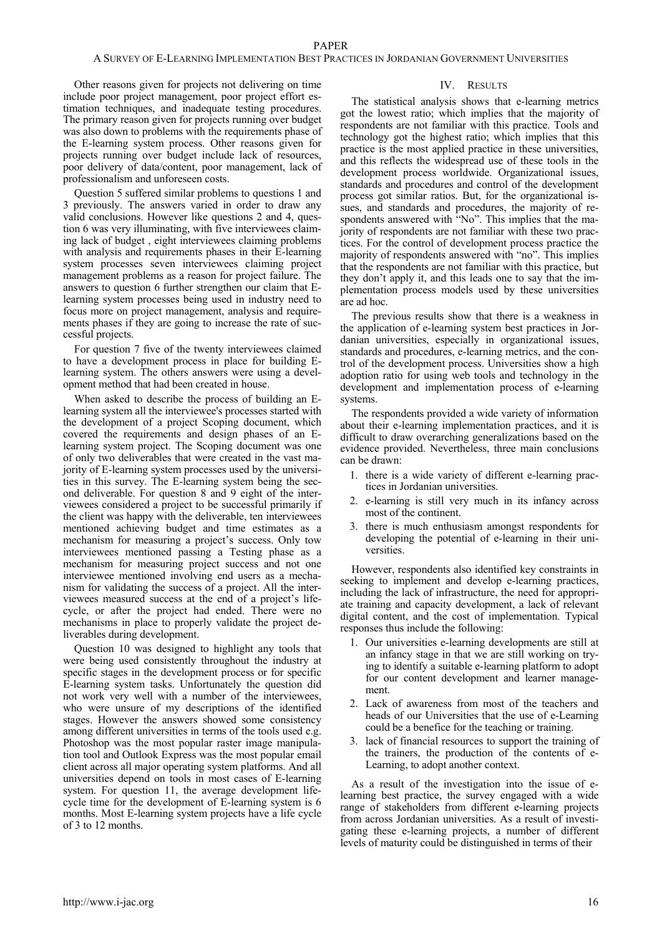Other reasons given for projects not delivering on time include poor project management, poor project effort estimation techniques, and inadequate testing procedures. The primary reason given for projects running over budget was also down to problems with the requirements phase of the E-learning system process. Other reasons given for projects running over budget include lack of resources, poor delivery of data/content, poor management, lack of professionalism and unforeseen costs.

Question 5 suffered similar problems to questions 1 and 3 previously. The answers varied in order to draw any valid conclusions. However like questions 2 and 4, question 6 was very illuminating, with five interviewees claiming lack of budget , eight interviewees claiming problems with analysis and requirements phases in their E-learning system processes seven interviewees claiming project management problems as a reason for project failure. The answers to question 6 further strengthen our claim that Elearning system processes being used in industry need to focus more on project management, analysis and requirements phases if they are going to increase the rate of successful projects.

For question 7 five of the twenty interviewees claimed to have a development process in place for building Elearning system. The others answers were using a development method that had been created in house.

When asked to describe the process of building an Elearning system all the interviewee's processes started with the development of a project Scoping document, which covered the requirements and design phases of an Elearning system project. The Scoping document was one of only two deliverables that were created in the vast majority of E-learning system processes used by the universities in this survey. The E-learning system being the second deliverable. For question 8 and 9 eight of the interviewees considered a project to be successful primarily if the client was happy with the deliverable, ten interviewees mentioned achieving budget and time estimates as a mechanism for measuring a project's success. Only tow interviewees mentioned passing a Testing phase as a mechanism for measuring project success and not one interviewee mentioned involving end users as a mechanism for validating the success of a project. All the interviewees measured success at the end of a project's lifecycle, or after the project had ended. There were no mechanisms in place to properly validate the project deliverables during development.

Question 10 was designed to highlight any tools that were being used consistently throughout the industry at specific stages in the development process or for specific E-learning system tasks. Unfortunately the question did not work very well with a number of the interviewees, who were unsure of my descriptions of the identified stages. However the answers showed some consistency among different universities in terms of the tools used e.g. Photoshop was the most popular raster image manipulation tool and Outlook Express was the most popular email client across all major operating system platforms. And all universities depend on tools in most cases of E-learning system. For question 11, the average development lifecycle time for the development of E-learning system is 6 months. Most E-learning system projects have a life cycle of 3 to 12 months.

# IV. RESULTS

The statistical analysis shows that e-learning metrics got the lowest ratio; which implies that the majority of respondents are not familiar with this practice. Tools and technology got the highest ratio; which implies that this practice is the most applied practice in these universities, and this reflects the widespread use of these tools in the development process worldwide. Organizational issues, standards and procedures and control of the development process got similar ratios. But, for the organizational issues, and standards and procedures, the majority of respondents answered with "No". This implies that the majority of respondents are not familiar with these two practices. For the control of development process practice the majority of respondents answered with "no". This implies that the respondents are not familiar with this practice, but they don't apply it, and this leads one to say that the implementation process models used by these universities are ad hoc.

The previous results show that there is a weakness in the application of e-learning system best practices in Jordanian universities, especially in organizational issues, standards and procedures, e-learning metrics, and the control of the development process. Universities show a high adoption ratio for using web tools and technology in the development and implementation process of e-learning systems.

The respondents provided a wide variety of information about their e-learning implementation practices, and it is difficult to draw overarching generalizations based on the evidence provided. Nevertheless, three main conclusions can be drawn:

- 1. there is a wide variety of different e-learning practices in Jordanian universities.
- 2. e-learning is still very much in its infancy across most of the continent.
- 3. there is much enthusiasm amongst respondents for developing the potential of e-learning in their universities.

However, respondents also identified key constraints in seeking to implement and develop e-learning practices, including the lack of infrastructure, the need for appropriate training and capacity development, a lack of relevant digital content, and the cost of implementation. Typical responses thus include the following:

- 1. Our universities e-learning developments are still at an infancy stage in that we are still working on trying to identify a suitable e-learning platform to adopt for our content development and learner management.
- 2. Lack of awareness from most of the teachers and heads of our Universities that the use of e-Learning could be a benefice for the teaching or training.
- 3. lack of financial resources to support the training of the trainers, the production of the contents of e-Learning, to adopt another context.

As a result of the investigation into the issue of elearning best practice, the survey engaged with a wide range of stakeholders from different e-learning projects from across Jordanian universities. As a result of investigating these e-learning projects, a number of different levels of maturity could be distinguished in terms of their